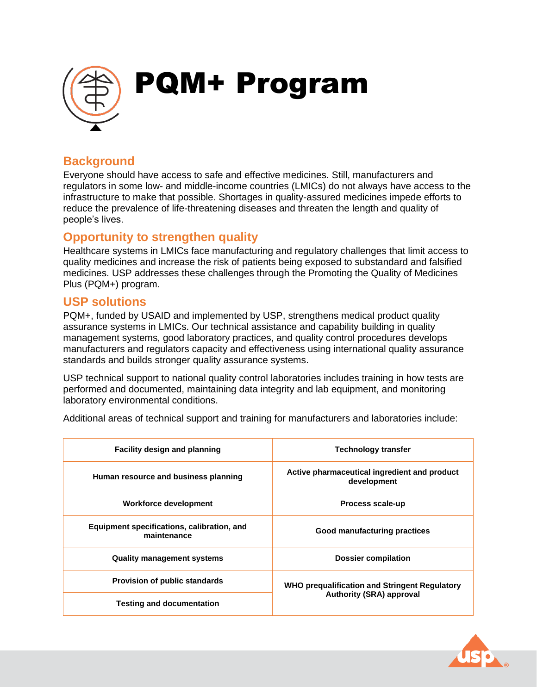

### **Background**

Everyone should have access to safe and effective medicines. Still, manufacturers and regulators in some low- and middle-income countries (LMICs) do not always have access to the infrastructure to make that possible. Shortages in quality-assured medicines impede efforts to reduce the prevalence of life-threatening diseases and threaten the length and quality of people's lives.

# **Opportunity to strengthen quality**

Healthcare systems in LMICs face manufacturing and regulatory challenges that limit access to quality medicines and increase the risk of patients being exposed to substandard and falsified medicines. USP addresses these challenges through the Promoting the Quality of Medicines Plus (PQM+) program.

### **USP solutions**

PQM+, funded by USAID and implemented by USP, strengthens medical product quality assurance systems in LMICs. Our technical assistance and capability building in quality management systems, good laboratory practices, and quality control procedures develops manufacturers and regulators capacity and effectiveness using international quality assurance standards and builds stronger quality assurance systems.

USP technical support to national quality control laboratories includes training in how tests are performed and documented, maintaining data integrity and lab equipment, and monitoring laboratory environmental conditions.

Additional areas of technical support and training for manufacturers and laboratories include:

| <b>Facility design and planning</b>                       | <b>Technology transfer</b>                                                       |
|-----------------------------------------------------------|----------------------------------------------------------------------------------|
| Human resource and business planning                      | Active pharmaceutical ingredient and product<br>development                      |
| Workforce development                                     | Process scale-up                                                                 |
| Equipment specifications, calibration, and<br>maintenance | Good manufacturing practices                                                     |
| <b>Quality management systems</b>                         | <b>Dossier compilation</b>                                                       |
| <b>Provision of public standards</b>                      | WHO prequalification and Stringent Regulatory<br><b>Authority (SRA) approval</b> |
| <b>Testing and documentation</b>                          |                                                                                  |